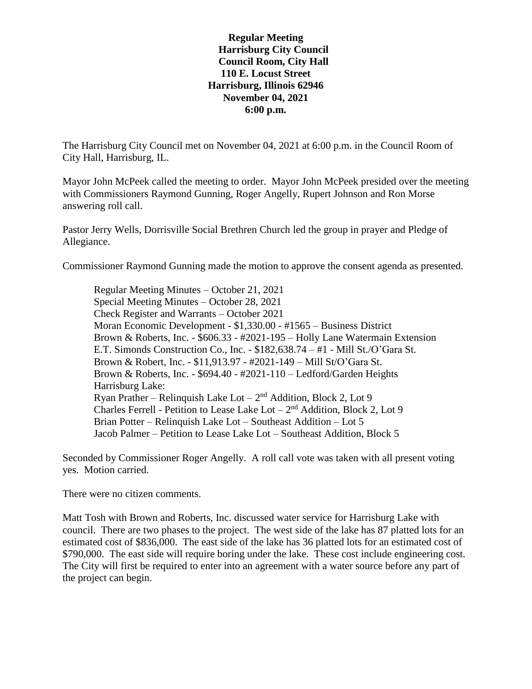## **Regular Meeting Harrisburg City Council Council Room, City Hall 110 E. Locust Street Harrisburg, Illinois 62946 November 04, 2021 6:00 p.m.**

The Harrisburg City Council met on November 04, 2021 at 6:00 p.m. in the Council Room of City Hall, Harrisburg, IL.

Mayor John McPeek called the meeting to order. Mayor John McPeek presided over the meeting with Commissioners Raymond Gunning, Roger Angelly, Rupert Johnson and Ron Morse answering roll call.

Pastor Jerry Wells, Dorrisville Social Brethren Church led the group in prayer and Pledge of Allegiance.

Commissioner Raymond Gunning made the motion to approve the consent agenda as presented.

Regular Meeting Minutes – October 21, 2021 Special Meeting Minutes – October 28, 2021 Check Register and Warrants – October 2021 Moran Economic Development - \$1,330.00 - #1565 – Business District Brown & Roberts, Inc. - \$606.33 - #2021-195 – Holly Lane Watermain Extension E.T. Simonds Construction Co., Inc. - \$182,638.74 – #1 - Mill St./O'Gara St. Brown & Robert, Inc. - \$11,913.97 - #2021-149 – Mill St/O'Gara St. Brown & Roberts, Inc. - \$694.40 - #2021-110 – Ledford/Garden Heights Harrisburg Lake: Ryan Prather – Relinquish Lake Lot  $-2<sup>nd</sup>$  Addition, Block 2, Lot 9 Charles Ferrell - Petition to Lease Lake Lot  $-2<sup>nd</sup>$  Addition, Block 2, Lot 9 Brian Potter – Relinquish Lake Lot – Southeast Addition – Lot 5 Jacob Palmer – Petition to Lease Lake Lot – Southeast Addition, Block 5

Seconded by Commissioner Roger Angelly. A roll call vote was taken with all present voting yes. Motion carried.

There were no citizen comments.

Matt Tosh with Brown and Roberts, Inc. discussed water service for Harrisburg Lake with council. There are two phases to the project. The west side of the lake has 87 platted lots for an estimated cost of \$836,000. The east side of the lake has 36 platted lots for an estimated cost of \$790,000. The east side will require boring under the lake. These cost include engineering cost. The City will first be required to enter into an agreement with a water source before any part of the project can begin.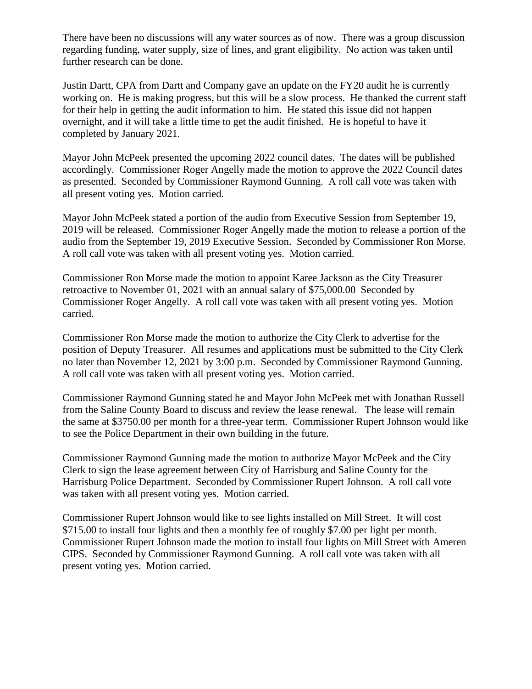There have been no discussions will any water sources as of now. There was a group discussion regarding funding, water supply, size of lines, and grant eligibility. No action was taken until further research can be done.

Justin Dartt, CPA from Dartt and Company gave an update on the FY20 audit he is currently working on. He is making progress, but this will be a slow process. He thanked the current staff for their help in getting the audit information to him. He stated this issue did not happen overnight, and it will take a little time to get the audit finished. He is hopeful to have it completed by January 2021.

Mayor John McPeek presented the upcoming 2022 council dates. The dates will be published accordingly. Commissioner Roger Angelly made the motion to approve the 2022 Council dates as presented. Seconded by Commissioner Raymond Gunning. A roll call vote was taken with all present voting yes. Motion carried.

Mayor John McPeek stated a portion of the audio from Executive Session from September 19, 2019 will be released. Commissioner Roger Angelly made the motion to release a portion of the audio from the September 19, 2019 Executive Session. Seconded by Commissioner Ron Morse. A roll call vote was taken with all present voting yes. Motion carried.

Commissioner Ron Morse made the motion to appoint Karee Jackson as the City Treasurer retroactive to November 01, 2021 with an annual salary of \$75,000.00 Seconded by Commissioner Roger Angelly. A roll call vote was taken with all present voting yes. Motion carried.

Commissioner Ron Morse made the motion to authorize the City Clerk to advertise for the position of Deputy Treasurer. All resumes and applications must be submitted to the City Clerk no later than November 12, 2021 by 3:00 p.m. Seconded by Commissioner Raymond Gunning. A roll call vote was taken with all present voting yes. Motion carried.

Commissioner Raymond Gunning stated he and Mayor John McPeek met with Jonathan Russell from the Saline County Board to discuss and review the lease renewal. The lease will remain the same at \$3750.00 per month for a three-year term. Commissioner Rupert Johnson would like to see the Police Department in their own building in the future.

Commissioner Raymond Gunning made the motion to authorize Mayor McPeek and the City Clerk to sign the lease agreement between City of Harrisburg and Saline County for the Harrisburg Police Department. Seconded by Commissioner Rupert Johnson. A roll call vote was taken with all present voting yes. Motion carried.

Commissioner Rupert Johnson would like to see lights installed on Mill Street. It will cost \$715.00 to install four lights and then a monthly fee of roughly \$7.00 per light per month. Commissioner Rupert Johnson made the motion to install four lights on Mill Street with Ameren CIPS. Seconded by Commissioner Raymond Gunning. A roll call vote was taken with all present voting yes. Motion carried.